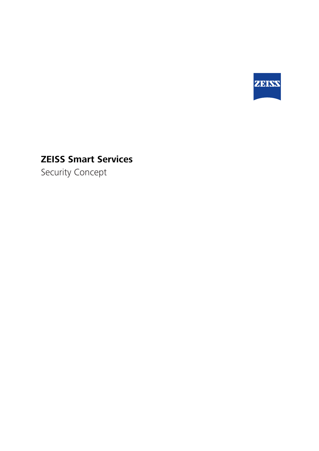

# **ZEISS Smart Services**

Security Concept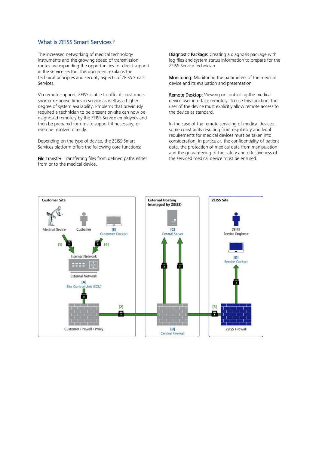# What is ZEISS Smart Services?

The increased networking of medical technology instruments and the growing speed of transmission routes are expanding the opportunities for direct support in the service sector. This document explains the technical principles and security aspects of ZEISS Smart Services.

Via remote support, ZEISS is able to offer its customers shorter response times in service as well as a higher degree of system availability. Problems that previously required a technician to be present on-site can now be diagnosed remotely by the ZEISS Service employees and then be prepared for on-site support if necessary, or even be resolved directly.

Depending on the type of device, the ZEISS Smart Services platform offers the following core functions:

File Transfer: Transferring files from defined paths either from or to the medical device.

Diagnostic Package: Creating a diagnosis package with log files and system status information to prepare for the ZEISS Service technician.

Monitoring: Monitoring the parameters of the medical device and its evaluation and presentation.

Remote Desktop: Viewing or controlling the medical device user interface remotely. To use this function, the user of the device must explicitly allow remote access to the device as standard.

In the case of the remote servicing of medical devices, some constraints resulting from regulatory and legal requirements for medical devices must be taken into consideration. In particular, the confidentiality of patient data, the protection of medical data from manipulation and the guaranteeing of the safety and effectiveness of the serviced medical device must be ensured.

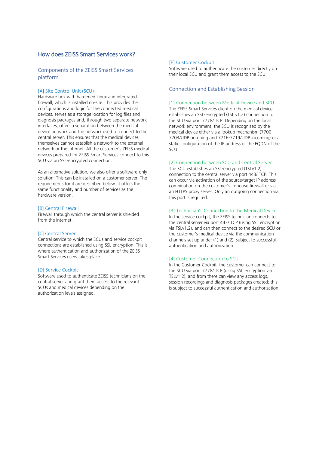# How does ZEISS Smart Services work?

# Components of the ZEISS Smart Services platform

## [A] Site Control Unit (SCU)

Hardware box with hardened Linux and integrated firewall, which is installed on-site. This provides the configurations and logic for the connected medical devices, serves as a storage location for log files and diagnosis packages and, through two separate network interfaces, offers a separation between the medical device network and the network used to connect to the central server. This ensures that the medical devices themselves cannot establish a network to the external network or the internet. All the customer's ZEISS medical devices prepared for ZEISS Smart Services connect to this SCU via an SSL-encrypted connection.

As an alternative solution, we also offer a software-only solution: This can be installed on a customer server. The requirements for it are described below. It offers the same functionality and number of services as the hardware version.

#### [B] Central Firewall

Firewall through which the central server is shielded from the internet

#### [C] Central Server

Central service to which the SCUs and service cockpit connections are established using SSL encryption. This is where authentication and authorization of the ZEISS Smart Services users takes place.

#### [D] Service Cockpit

Software used to authenticate ZEISS technicians on the central server and grant them access to the relevant SCUs and medical devices depending on the authorization levels assigned.

#### [E] Customer Cockpit

Software used to authenticate the customer directly on their local SCU and grant them access to the SCU.

#### Connection and Establishing Session

#### [1] Connection between Medical Device and SCU

The ZEISS Smart Services client on the medical device establishes an SSL-encrypted (TSL v1.2) connection to the SCU via port 7778/ TCP. Depending on the local network environment, the SCU is recognized by the medical device either via a lookup mechanism (7700- 7703/UDP outgoing and 7716-7719/UDP incoming) or a static configuration of the IP address or the FQDN of the SCU.

## [2] Connection between SCU and Central Server

The SCU establishes an SSL-encrypted (TSLv1.2) connection to the central server via port 443/ TCP. This can occur via activation of the source/target IP address combination on the customer's in-house firewall or via an HTTPS proxy server. Only an outgoing connection via this port is required.

## [3] Technician's Connection to the Medical Device

In the service cockpit, the ZEISS technician connects to the central server via port 443/ TCP (using SSL encryption via TSLv1.2), and can then connect to the desired SCU or the customer's medical device via the communication channels set up under (1) and (2), subject to successful authentication and authorization.

#### [4] Customer Connection to SCU

In the Customer Cockpit, the customer can connect to the SCU via port 7778/ TCP (using SSL encryption via TSLv1.2), and from there can view any access logs, session recordings and diagnosis packages created; this is subject to successful authentication and authorization.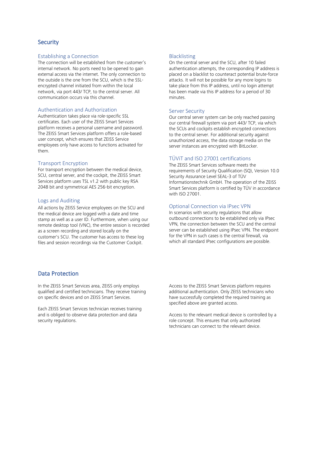# **Security**

## Establishing a Connection

The connection will be established from the customer's internal network. No ports need to be opened to gain external access via the internet. The only connection to the outside is the one from the SCU, which is the SSLencrypted channel initiated from within the local network, via port 443/ TCP, to the central server. All communication occurs via this channel.

#### Authentication and Authorization

Authentication takes place via role-specific SSL certificates. Each user of the ZEISS Smart Services platform receives a personal username and password. The ZEISS Smart Services platform offers a role-based user concept, which ensures that ZEISS Service employees only have access to functions activated for them.

#### Transport Encryption

For transport encryption between the medical device, SCU, central server, and the cockpit, the ZEISS Smart Services platform uses TSL v1.2 with public key RSA 2048 bit and symmetrical AES 256-bit encryption.

## Logs and Auditing

All actions by ZEISS Service employees on the SCU and the medical device are logged with a date and time stamp as well as a user ID. Furthermore, when using our remote desktop tool (VNC), the entire session is recorded as a screen recording and stored locally on the customer's SCU. The customer has access to these log files and session recordings via the Customer Cockpit.

## Blacklisting

On the central server and the SCU, after 10 failed authentication attempts, the corresponding IP address is placed on a blacklist to counteract potential brute-force attacks. It will not be possible for any more logins to take place from this IP address, until no login attempt has been made via this IP address for a period of 30 minutes.

# Server Security

Our central server system can be only reached passing our central firewall system via port 443/ TCP, via which the SCUs and cockpits establish encrypted connections to the central server. For additional security against unauthorized access, the data storage media on the server instances are encrypted with BitLocker.

# TÜViT and ISO 27001 certifications

The ZEISS Smart Services software meets the requirements of Security Qualification (SQ), Version 10.0 Security Assurance Level SEAL-3 of TÜV Informationstechnik GmbH. The operation of the ZEISS Smart Services platform is certified by TÜV in accordance with ISO 27001.

## Optional Connection via IPsec VPN

In scenarios with security regulations that allow outbound connections to be established only via IPsec VPN, the connection between the SCU and the central server can be established using IPsec VPN. The endpoint for the VPN in such cases is the central firewall, via which all standard IPsec configurations are possible.

# Data Protection

In the ZEISS Smart Services area, ZEISS only employs qualified and certified technicians. They receive training on specific devices and on ZEISS Smart Services.

Each ZEISS Smart Services technician receives training and is obliged to observe data protection and data security regulations.

Access to the ZEISS Smart Services platform requires additional authentication. Only ZEISS technicians who have successfully completed the required training as specified above are granted access.

Access to the relevant medical device is controlled by a role concept. This ensures that only authorized technicians can connect to the relevant device.